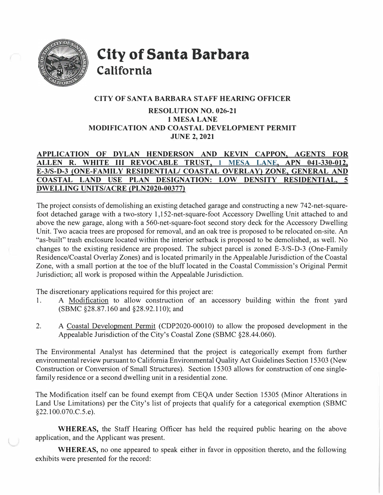

**City of Santa Barbara California** 

## **CITY OF SANTA BARBARA STAFF HEARING OFFICER**

## **RESOLUTION NO. 026-21 lMESA LANE MODIFICATION AND COASTAL DEVELOPMENT PERMIT JUNE 2, 2021**

# **APPLICATION OF DYLAN HENDERSON AND KEVIN CAPPON, AGENTS FOR ALLEN R. WHITE** III **REVOCABLE TRUST, 1 MESA LANE, APN 041-330-012, E-3/S-D-3 (ONE-FAMILY RESIDENTIAL/ COASTAL OVERLAY) ZONE, GENERAL AND COASTAL LAND USE PLAN DESIGNATION: LOW DENSITY RESIDENTIAL, 5 DWELLING UNITS/ACRE (PLN2020-00377)**

The project consists of demolishing an existing detached garage and constructing a new 742-net-squarefoot detached garage with a two-story 1, 152-net-square-foot Accessory Dwelling Unit attached to and above the new garage, along with a 560-net-square-foot second story deck for the Accessory Dwelling Unit. Two acacia trees are proposed for removal, and an oak tree is proposed to be relocated on-site. An "as-built" trash enclosure located within the interior setback is proposed to be demolished, as well. No changes to the existing residence are proposed. The subject parcel is zoned E-3/S-D-3 (One-Family Residence/Coastal Overlay Zones) and is located primarily in the Appealable Jurisdiction of the Coastal Zone, with a small portion at the toe of the bluff located in the Coastal Commission's Original Permit Jurisdiction; all work is proposed within the Appealable Jurisdiction.

The discretionary applications required for this project are:

- 1. A Modification to allow construction of an accessory building within the front yard (SBMC §28.87.160 and §28.92.110); and
- 2. A Coastal Development Permit (CDP2020-00010) to allow the proposed development in the Appealable Jurisdiction of the City's Coastal Zone (SBMC §28.44.060).

The Environmental Analyst has determined that the project is categorically exempt from further environmental review pursuant to California Environmental Quality Act Guidelines Section 15303 (New Construction or Conversion of Small Structures). Section 15303 allows for construction of one singlefamily residence or a second dwelling unit in a residential zone.

The Modification itself can be found exempt from CEQA under Section 15305 (Minor Alterations in Land Use Limitations) per the City's list of projects that qualify for a categorical exemption (SBMC §22.100.070.C.5.e).

**WHEREAS,** the Staff Hearing Officer has held the required public hearing on the above application, and the Applicant was present.

**WHEREAS,** no one appeared to speak either in favor in opposition thereto, and the following exhibits were presented for the record: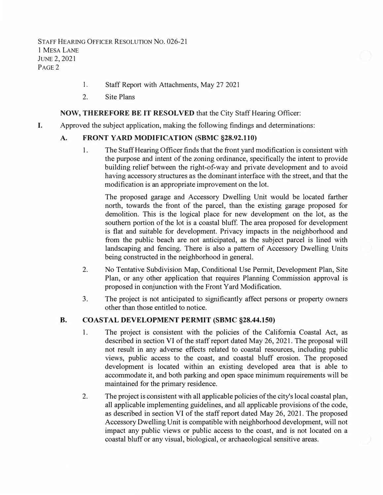STAFF HEARING OFFICER RESOLUTION NO. 026-21 1 MESA LANE JUNE 2, 2021 P<sub>AGE</sub><sub>2</sub>

- 1. Staff Report with Attachments, May 27 2021
- 2. Site Plans

#### **NOW, THEREFORE BE IT RESOLVED** that the City Staff Hearing Officer:

I. Approved the subject application, making the following findings and determinations:

#### **A. FRONT YARD MODIFICATION (SBMC §28.92.110)**

1. The Staff Hearing Officer finds that the front yard modification is consistent with the purpose and intent of the zoning ordinance, specifically the intent to provide building relief between the right-of-way and private development and to avoid having accessory structures as the dominant interface with the street, and that the modification is an appropriate improvement on the lot.

The proposed garage and Accessory Dwelling Unit would be located farther north, towards the front of the parcel, than the existing garage proposed for demolition. This is the logical place for new development on the lot, as the southern portion of the lot is a coastal bluff. The area proposed for development is flat and suitable for development. Privacy impacts in the neighborhood and from the public beach are not anticipated, as the subject parcel is lined with landscaping and fencing. There is also a pattern of Accessory Dwelling Units being constructed in the neighborhood in general.

- 2. No Tentative Subdivision Map, Conditional Use Permit, Development Plan, Site Plan, or any other application that requires Planning Commission approval is proposed in conjunction with the Front Yard Modification.
- 3. The project is not anticipated to significantly affect persons or property owners other than those entitled to notice.

#### **B.COAST AL DEVELOPMENT PERMIT (SBMC §28.44.150)**

- 1. The project is consistent with the policies of the California Coastal Act, as described in section VI of the staff report dated May 26, 2021. The proposal will not result in any adverse effects related to coastal resources, including public views, public access to the coast, and coastal bluff erosion. The proposed development is located within an existing developed area that is able to accommodate it, and both parking and open space minimum requirements will be maintained for the primary residence.
- 2. The project is consistent with all applicable policies of the city's local coastal plan, all applicable implementing guidelines, and all applicable provisions of the code, as described in section VI of the staff report dated May 26, 2021. The proposed Accessory Dwelling Unit is compatible with neighborhood development, will not impact any public views or public access to the coast, and is not located on a coastal bluff or any visual, biological, or archaeological sensitive areas.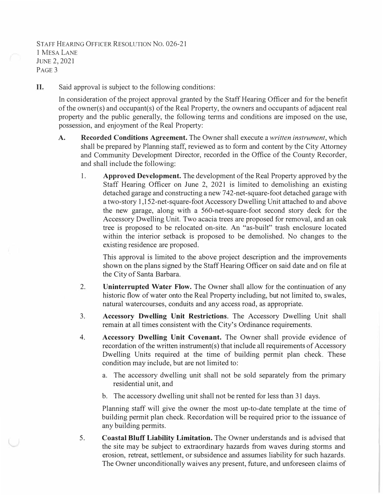## STAFF HEARING OFFICER RESOLUTION No. 026-21 1 MESA LANE JUNE 2, 2021 P<sub>AGE</sub> 3

II.Said approval is subject to the following conditions:

> In consideration of the project approval granted by the Staff Hearing Officer and for the benefit of the owner(s) and occupant(s) of the Real Property, the owners and occupants of adjacent real property and the public generally, the following tenns and conditions are imposed on the use, possession, and enjoyment of the Real Property:

- **A. Recorded Conditions Agreement.** The Owner shall execute a *written instrument,* which shall be prepared by Planning staff, reviewed as to form and content by the City Attorney and Community Development Director, recorded in the Office of the County Recorder, and shall include the following:
	- 1. **Approved Development.** The development of the Real Property approved by the Staff Hearing Officer on June 2, 2021 is limited to demolishing an existing detached garage and constructing a new 742-net-square-foot detached garage with a two-story 1, 152-net-square-foot Accessory Dwelling Unit attached to and above the new garage, along with a 560-net-square-foot second story deck for the Accessory Dwelling Unit. Two acacia trees are proposed for removal, and an oak tree is proposed to be relocated on-site. An "as-built" trash enclosure located within the interior setback is proposed to be demolished. No changes to the existing residence are proposed.

This approval is limited to the above project description and the improvements shown on the plans signed by the Staff Hearing Officer on said date and on file at the City of Santa Barbara.

- 2. **Uninterrupted Water Flow.** The Owner shall allow for the continuation of any historic flow of water onto the Real Property including, but not limited to, swales, natural watercourses, conduits and any access road, as appropriate.
- 3. **Accessory Dwelling Unit Restrictions.** The Accessory Dwelling Unit shall remain at all times consistent with the City's Ordinance requirements.
- 4. **Accessory Dwelling Unit Covenant.** The Owner shall provide evidence of recordation of the written instrument(s) that include all requirements of Accessory Dwelling Units required at the time of building permit plan check. These condition may include, but are not limited to:
	- a. The accessory dwelling unit shall not be sold separately from the primary residential unit, and
	- b. The accessory dwelling unit shall not be rented for less than 31 days.

Planning staff will give the owner the most up-to-date template at the time of building permit plan check. Recordation will be required prior to the issuance of any building permits.

5. **Coastal Bluff Liability Limitation.** The Owner understands and is advised that the site may be subject to extraordinary hazards from waves during storms and erosion, retreat, settlement, or subsidence and assumes liability for such hazards. The Owner unconditionally waives any present, future, and unforeseen claims of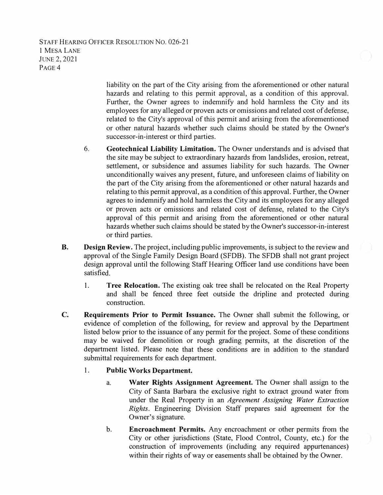STAFF HEARING OFFICER RESOLUTION NO. 026-21 1 MESA LANE JUNE2, 2021 P<sub>AGE</sub><sub>4</sub>

> liability on the part of the City arising from the aforementioned or other natural hazards and relating to this permit approval, as a condition of this approval. Further, the Owner agrees to indemnify and hold harmless the City and its employees for any alleged or proven acts or omissions and related cost of defense, related to the City's approval of this permit and arising from the aforementioned or other natural hazards whether such claims should be stated by the Owner's successor-in-interest or third parties.

- 6. **Geotechnical Liability Limitation.** The Owner understands and is advised that the site may be subject to extraordinary hazards from landslides, erosion, retreat, settlement, or subsidence and assumes liability for such hazards. The Owner unconditionally waives any present, future, and unforeseen claims of liability on the part of the City arising from the aforementioned or other natural hazards and relating to this permit approval, as a condition of this approval. Further, the Owner agrees to indemnify and hold harmless the City and its employees for any alleged or proven acts or omissions and related cost of defense, related to the City's approval of this permit and arising from the aforementioned or other natural hazards whether such claims should be stated by the Owner's successor-in-interest or third parties.
- **B. Design Review.** The project, including public improvements, is subject to the review and approval of the Single Family Design Board (SFDB). The SFDB shall not grant project design approval until the following Staff Hearing Officer land use conditions have been satisfied.
	- **1. Tree Relocation.** The existing oak tree shall be relocated on the Real Property and shall be fenced three feet outside the dripline and protected during construction.
- **C. Requirements Prior to Permit Issuance.** The Owner shall submit the following, or evidence of completion of the following, for review and approval by the Department listed below prior to the issuance of any permit for the project. Some of these conditions may be waived for demolition or rough grading permits, at the discretion of the department listed. Please note that these conditions are in addition to the standard submittal requirements for each department.

#### **1. Public Works Department.**

- a. **Water Rights Assignment Agreement.** The Owner shall assign to the City of Santa Barbara the exclusive right to extract ground water from under the Real Property in an *Agreement Assigning Water Extraction Rights.* Engineering Division Staff prepares said agreement for the Owner's signature.
- **b. Encroachment Permits.** Any encroachment or other permits from the City or other jurisdictions (State, Flood Control, County, etc.) for the construction of improvements (including any required appurtenances) within their rights of way or easements shall be obtained by the Owner.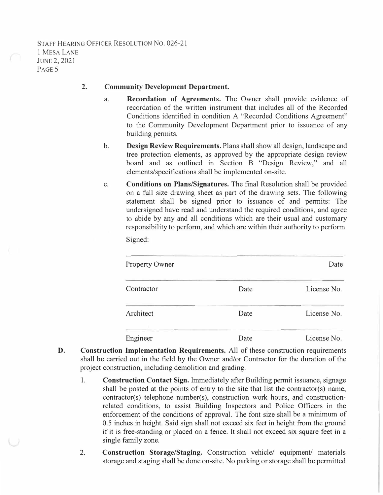### **2. Community Development Department.**

- a. **Recordation of Agreements.** The Owner shall provide evidence of recordation of the written instrument that includes all of the Recorded Conditions identified in condition A "Recorded Conditions Agreement" to the Community Development Department prior to issuance of any building permits.
- b. **Design Review Requirements.** Plans shall show all design, landscape and tree protection elements, as approved by the appropriate design review board and as outlined in Section B "Design Review," and all elements/specifications shall be implemented on-site.
- c. **Conditions on Plans/Signatures.** The final Resolution shall be provided on a full size drawing sheet as part of the drawing sets. The following statement shall be signed prior to issuance of and permits: The undersigned have read and understand the required conditions, and agree to abide by any and all conditions which are their usual and customary responsibility to perform, and which are within their authority to perform.

Signed:

| <b>Property Owner</b> |      | Date        |
|-----------------------|------|-------------|
| Contractor            | Date | License No. |
| Architect             | Date | License No. |
| Engineer              | Date | License No. |

- **D. Construction Implementation Requirements.** All of these construction requirements shall be carried out in the field by the Owner and/or Contractor for the duration of the project construction, including demolition and grading.
	- **1. Construction Contact Sign.** Immediately after Building permit issuance, signage shall be posted at the points of entry to the site that list the contractor(s) name, contractor(s) telephone number(s), construction work hours, and constructionrelated conditions, to assist Building Inspectors and Police Officers in the enforcement of the conditions of approval. The font size shall be a minimum of 0.5 inches in height. Said sign shall not exceed six feet in height from the ground if it is free-standing or placed on a fence. It shall not exceed six square feet in a single family zone.
	- 2. **Construction Storage/Staging.** Construction vehicle/ equipment/ materials storage and staging shall be done on-site. No parking or storage shall be permitted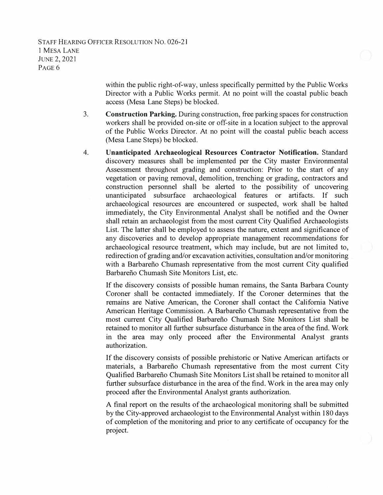STAFF HEARING OFFICER RESOLUTION NO. 026-21 1 MESA LANE JUNE 2, 2021 P<sub>AGE</sub><sub>6</sub>

> within the public right-of-way, unless specifically permitted by the Public Works Director with a Public Works permit. At no point will the coastal public beach access (Mesa Lane Steps) be blocked.

- 3. **Construction Parking.** During construction, free parking spaces for construction workers shall be provided on-site or off-site in a location subject to the approval of the Public Works Director. At no point will the coastal public beach access (Mesa Lane Steps) be blocked.
- 4. **Unanticipated Archaeological Resources Contractor Notification.** Standard discovery measures shall be implemented per the City master Environmental Assessment throughout grading and construction: Prior to the start of any vegetation or paving removal, demolition, trenching or grading, contractors and construction personnel shall be alerted to the possibility of uncovering unanticipated subsurface archaeological features or artifacts. If such archaeological resources are encountered or suspected, work shall be halted immediately, the City Environmental Analyst shall be notified and the Owner shall retain an archaeologist from the most current City Qualified Archaeologists List. The latter shall be employed to assess the nature, extent and significance of any discoveries and to develop appropriate management recommendations for archaeological resource treatment, which may include, but are not limited to, redirection of grading and/or excavation activities, consultation and/or monitoring with a Barbarefio Chumash representative from the most current City qualified Barbarefio Chumash Site Monitors List, etc.

If the discovery consists of possible human remains, the Santa Barbara County Coroner shall be contacted immediately. If the Coroner determines that the remains are Native American, the Coroner shall contact the California Native American Heritage Commission. A Barbarefio Chumash representative from the most current City Qualified Barbarefio Chumash Site Monitors List shall be retained to monitor all further subsurface disturbance in the area of the find. Work in the area may only proceed after the Environmental Analyst grants authorization.

If the discovery consists of possible prehistoric or Native American artifacts or materials, a Barbarefio Chumash representative from the most current City Qualified Barbarefio Chumash Site Monitors List shall be retained to monitor all further subsurface disturbance in the area of the find. Work in the area may only proceed after the Environmental Analyst grants authorization.

A final report on the results of the archaeological monitoring shall be submitted by the City-approved archaeologist to the Environmental Analyst within 180 days of completion of the monitoring and prior to any certificate of occupancy for the project.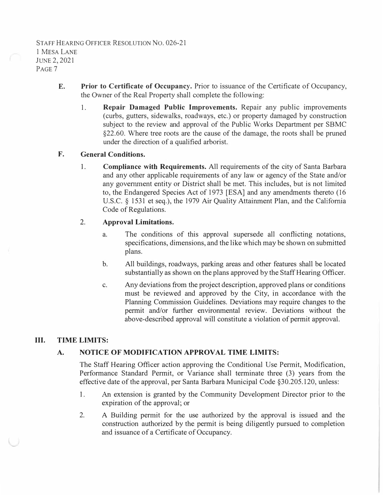- **E.Prior to Certificate of Occupancy.** Prior to issuance of the Certificate of Occupancy, the Owner of the Real Property shall complete the following:
	- 1. **Repair Damaged Public Improvements.** Repair any public improvements (curbs, gutters, sidewalks, roadways, etc.) or property damaged by construction subject to the review and approval of the Public Works Department per SBMC §22.60. Where tree roots are the cause of the damage, the roots shall be pruned under the direction of a qualified arborist.

### **F. General Conditions.**

**1. Compliance with Requirements.** All requirements of the city of Santa Barbara and any other applicable requirements of any law or agency of the State and/or any government entity or District shall be met. This includes, but is not limited to, the Endangered Species Act of 1973 [ESA] and any amendments thereto (16 U.S.C. § 1531 et seq.), the 1979 Air Quality Attainment Plan, and the California Code of Regulations.

# **2. Approval Limitations.**

- a. The conditions of this approval supersede all conflicting notations, specifications, dimensions, and the like which may be shown on submitted plans.
- b. All buildings, roadways, parking areas and other features shall be located substantially as shown on the plans approved by the Staff Hearing Officer.
- c. Any deviations from the project description, approved plans or conditions must be reviewed and approved by the City, in accordance with the Planning Commission Guidelines. Deviations may require changes to the permit and/or further environmental review. Deviations without the above-described approval will constitute a violation of permit approval.

# **III. TIME LIMITS:**

# **A. NOTICE OF MODIFICATION APPROVAL TIME LIMITS:**

The Staff Hearing Officer action approving the Conditional Use Pennit, Modification, Performance Standard Permit, or Variance shall terminate three (3) years from the effective date of the approval, per Santa Barbara Municipal Code §30.205.120, unless:

- I. An extension is granted by the Community Development Director prior to the expiration of the approval; or
- 2. A Building permit for the use authorized by the approval is issued and the construction authorized by the permit is being diligently pursued to completion and issuance of a Certificate of Occupancy.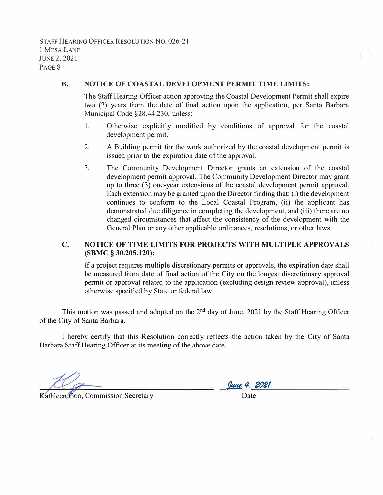STAFF HEARING OFFICER RESOLUTION NO. 026-21 1 MESA LANE JUNE2, 2021 P<sub>AGE</sub> 8

#### **B. NOTICE OF COASTAL DEVELOPMENT PERMIT TIME LIMITS:**

The Staff Hearing Officer action approving the Coastal Development Permit shall expire two (2) years from the date of final action upon the application, per Santa Barbara Municipal Code §28.44.230, unless:

- 1. Otherwise explicitly modified by conditions of approval for the coastal development permit.
- 2. A Building permit for the work authorized by the coastal development permit is issued prior to the expiration date of the approval.
- 3. The Community Development Director grants an extension of the coastal development permit approval. The Community Development Director may grant up to three (3) one-year extensions of the coastal development permit approval. Each extension may be granted upon the Director finding that: (i) the development continues to conform to the Local Coastal Program, (ii) the applicant has demonstrated due diligence in completing the development, and (iii) there are no changed circumstances that affect the consistency of the development with the General Plan or any other applicable ordinances, resolutions, or other laws.

## **C. NOTICE OF TIME LIMITS FOR PROJECTS WITH MULTIPLE APPROVALS (SBMC § 30.205.120):**

If a project requires multiple discretionary permits or approvals, the expiration date shall be measured from date of final action of the City on the longest discretionary approval permit or approval related to the application ( excluding design review approval), unless otherwise specified by State or federal law.

This motion was passed and adopted on the  $2<sup>nd</sup>$  day of June, 2021 by the Staff Hearing Officer of the City of Santa Barbara.

I hereby certify that this Resolution correctly reflects the action taken by the City of Santa Barbara Staff Hearing Officer at its meeting of the above date.

Kathleen Goo, Commission Secretary

*�4. 2021* •

Date